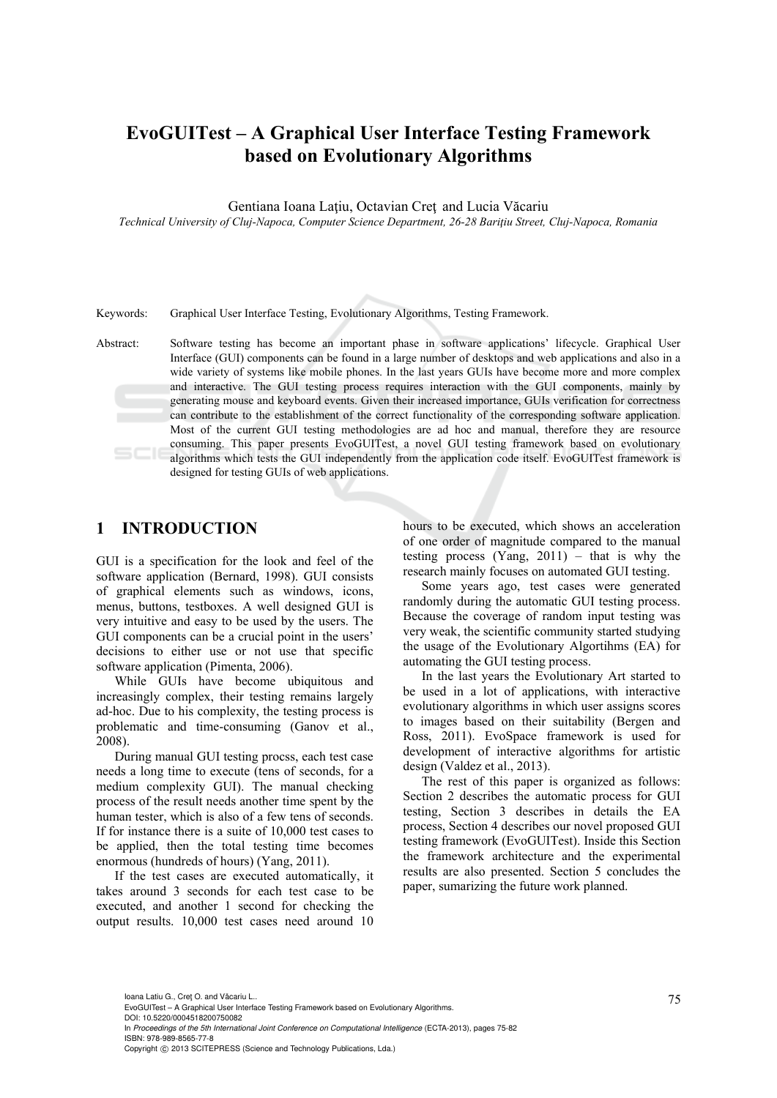# **EvoGUITest – A Graphical User Interface Testing Framework based on Evolutionary Algorithms**

Gentiana Ioana Laţiu, Octavian Creţ and Lucia Văcariu

*Technical University of Cluj-Napoca, Computer Science Department, 26-28 Bariţiu Street, Cluj-Napoca, Romania* 

Keywords: Graphical User Interface Testing, Evolutionary Algorithms, Testing Framework.

Abstract: Software testing has become an important phase in software applications' lifecycle. Graphical User Interface (GUI) components can be found in a large number of desktops and web applications and also in a wide variety of systems like mobile phones. In the last years GUIs have become more and more complex and interactive. The GUI testing process requires interaction with the GUI components, mainly by generating mouse and keyboard events. Given their increased importance, GUIs verification for correctness can contribute to the establishment of the correct functionality of the corresponding software application. Most of the current GUI testing methodologies are ad hoc and manual, therefore they are resource consuming. This paper presents EvoGUITest, a novel GUI testing framework based on evolutionary algorithms which tests the GUI independently from the application code itself. EvoGUITest framework is designed for testing GUIs of web applications.

## **1 INTRODUCTION**

GUI is a specification for the look and feel of the software application (Bernard, 1998). GUI consists of graphical elements such as windows, icons, menus, buttons, testboxes. A well designed GUI is very intuitive and easy to be used by the users. The GUI components can be a crucial point in the users' decisions to either use or not use that specific software application (Pimenta, 2006).

While GUIs have become ubiquitous and increasingly complex, their testing remains largely ad-hoc. Due to his complexity, the testing process is problematic and time-consuming (Ganov et al., 2008).

During manual GUI testing procss, each test case needs a long time to execute (tens of seconds, for a medium complexity GUI). The manual checking process of the result needs another time spent by the human tester, which is also of a few tens of seconds. If for instance there is a suite of 10,000 test cases to be applied, then the total testing time becomes enormous (hundreds of hours) (Yang, 2011).

If the test cases are executed automatically, it takes around 3 seconds for each test case to be executed, and another 1 second for checking the output results. 10,000 test cases need around 10

hours to be executed, which shows an acceleration of one order of magnitude compared to the manual testing process (Yang, 2011) – that is why the research mainly focuses on automated GUI testing.

Some years ago, test cases were generated randomly during the automatic GUI testing process. Because the coverage of random input testing was very weak, the scientific community started studying the usage of the Evolutionary Algortihms (EA) for automating the GUI testing process.

In the last years the Evolutionary Art started to be used in a lot of applications, with interactive evolutionary algorithms in which user assigns scores to images based on their suitability (Bergen and Ross, 2011). EvoSpace framework is used for development of interactive algorithms for artistic design (Valdez et al., 2013).

The rest of this paper is organized as follows: Section 2 describes the automatic process for GUI testing, Section 3 describes in details the EA process, Section 4 describes our novel proposed GUI testing framework (EvoGUITest). Inside this Section the framework architecture and the experimental results are also presented. Section 5 concludes the paper, sumarizing the future work planned.

In *Proceedings of the 5th International Joint Conference on Computational Intelligence* (ECTA-2013), pages 75-82 ISBN: 978-989-8565-77-8

loana Latiu G., Creţ O. and Văcariu L..<br>EvoGUITest – A Graphical User Interface Testing Framework based on Evolutionary Algorithms. DOI: 10.5220/0004518200750082

Copyright © 2013 SCITEPRESS (Science and Technology Publications, Lda.)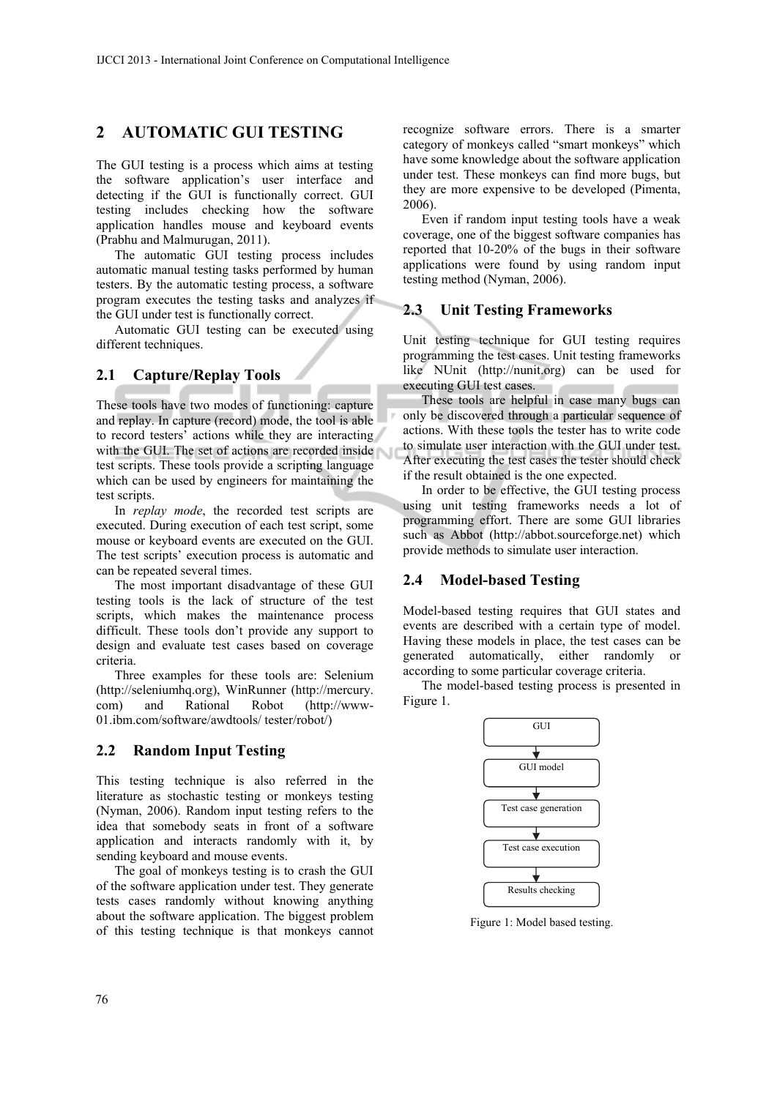## **2 AUTOMATIC GUI TESTING**

The GUI testing is a process which aims at testing the software application's user interface and detecting if the GUI is functionally correct. GUI testing includes checking how the software application handles mouse and keyboard events (Prabhu and Malmurugan, 2011).

The automatic GUI testing process includes automatic manual testing tasks performed by human testers. By the automatic testing process, a software program executes the testing tasks and analyzes if the GUI under test is functionally correct.

Automatic GUI testing can be executed using different techniques.

## **2.1 Capture/Replay Tools**

These tools have two modes of functioning: capture and replay. In capture (record) mode, the tool is able to record testers' actions while they are interacting with the GUI. The set of actions are recorded inside test scripts. These tools provide a scripting language which can be used by engineers for maintaining the test scripts.

In *replay mode*, the recorded test scripts are executed. During execution of each test script, some mouse or keyboard events are executed on the GUI. The test scripts' execution process is automatic and can be repeated several times.

The most important disadvantage of these GUI testing tools is the lack of structure of the test scripts, which makes the maintenance process difficult. These tools don't provide any support to design and evaluate test cases based on coverage criteria.

Three examples for these tools are: Selenium (http://seleniumhq.org), WinRunner (http://mercury. com) and Rational Robot (http://www-01.ibm.com/software/awdtools/ tester/robot/)

#### **2.2 Random Input Testing**

This testing technique is also referred in the literature as stochastic testing or monkeys testing (Nyman, 2006). Random input testing refers to the idea that somebody seats in front of a software application and interacts randomly with it, by sending keyboard and mouse events.

The goal of monkeys testing is to crash the GUI of the software application under test. They generate tests cases randomly without knowing anything about the software application. The biggest problem of this testing technique is that monkeys cannot

recognize software errors. There is a smarter category of monkeys called "smart monkeys" which have some knowledge about the software application under test. These monkeys can find more bugs, but they are more expensive to be developed (Pimenta, 2006).

Even if random input testing tools have a weak coverage, one of the biggest software companies has reported that 10-20% of the bugs in their software applications were found by using random input testing method (Nyman, 2006).

#### **2.3 Unit Testing Frameworks**

Unit testing technique for GUI testing requires programming the test cases. Unit testing frameworks like NUnit (http://nunit.org) can be used for executing GUI test cases.

These tools are helpful in case many bugs can only be discovered through a particular sequence of actions. With these tools the tester has to write code to simulate user interaction with the GUI under test. After executing the test cases the tester should check if the result obtained is the one expected.

In order to be effective, the GUI testing process using unit testing frameworks needs a lot of programming effort. There are some GUI libraries such as Abbot (http://abbot.sourceforge.net) which provide methods to simulate user interaction.

#### **2.4 Model-based Testing**

Model-based testing requires that GUI states and events are described with a certain type of model. Having these models in place, the test cases can be generated automatically, either randomly or according to some particular coverage criteria.

The model-based testing process is presented in Figure 1.



Figure 1: Model based testing.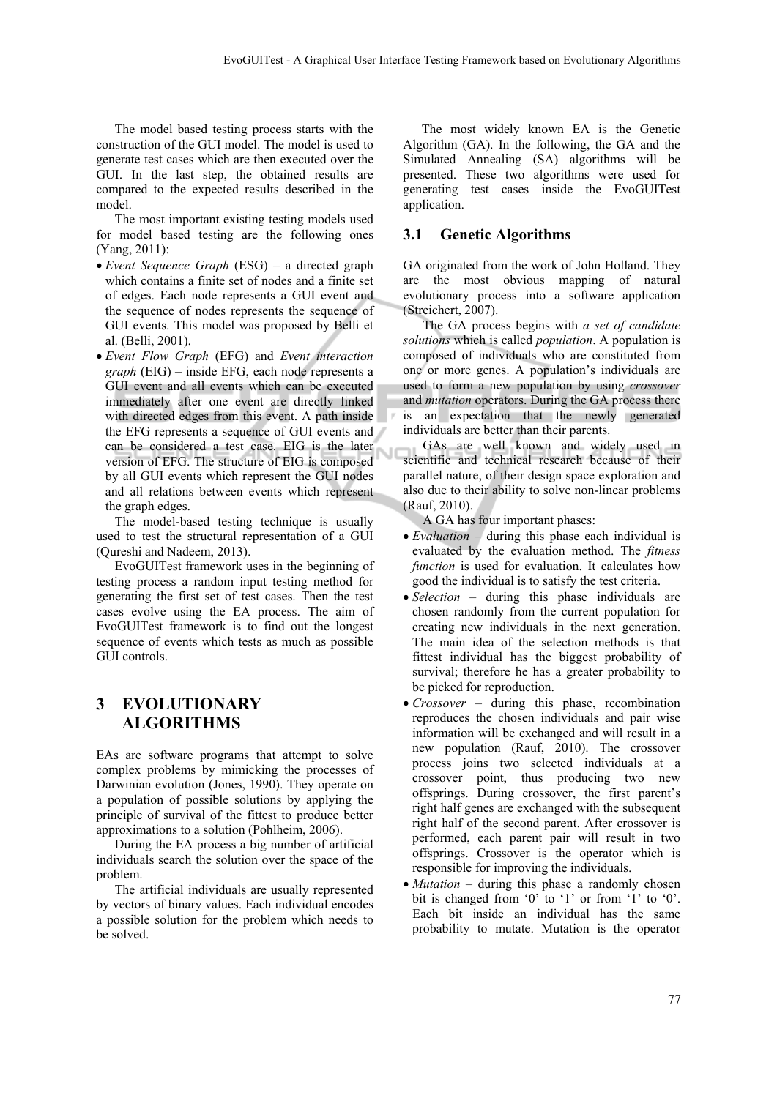The model based testing process starts with the construction of the GUI model. The model is used to generate test cases which are then executed over the GUI. In the last step, the obtained results are compared to the expected results described in the model.

The most important existing testing models used for model based testing are the following ones (Yang, 2011):

- *Event Sequence Graph* (ESG) a directed graph which contains a finite set of nodes and a finite set of edges. Each node represents a GUI event and the sequence of nodes represents the sequence of GUI events. This model was proposed by Belli et al. (Belli, 2001).
- *Event Flow Graph* (EFG) and *Event interaction graph* (EIG) – inside EFG, each node represents a GUI event and all events which can be executed immediately after one event are directly linked with directed edges from this event. A path inside the EFG represents a sequence of GUI events and can be considered a test case. EIG is the later version of EFG. The structure of EIG is composed by all GUI events which represent the GUI nodes and all relations between events which represent the graph edges.

The model-based testing technique is usually used to test the structural representation of a GUI (Qureshi and Nadeem, 2013).

EvoGUITest framework uses in the beginning of testing process a random input testing method for generating the first set of test cases. Then the test cases evolve using the EA process. The aim of EvoGUITest framework is to find out the longest sequence of events which tests as much as possible GUI controls.

## **3 EVOLUTIONARY ALGORITHMS**

EAs are software programs that attempt to solve complex problems by mimicking the processes of Darwinian evolution (Jones, 1990). They operate on a population of possible solutions by applying the principle of survival of the fittest to produce better approximations to a solution (Pohlheim, 2006).

During the EA process a big number of artificial individuals search the solution over the space of the problem.

The artificial individuals are usually represented by vectors of binary values. Each individual encodes a possible solution for the problem which needs to be solved.

The most widely known EA is the Genetic Algorithm (GA). In the following, the GA and the Simulated Annealing (SA) algorithms will be presented. These two algorithms were used for generating test cases inside the EvoGUITest application.

#### **3.1 Genetic Algorithms**

GA originated from the work of John Holland. They are the most obvious mapping of natural evolutionary process into a software application (Streichert, 2007).

The GA process begins with *a set of candidate solutions* which is called *population*. A population is composed of individuals who are constituted from one or more genes. A population's individuals are used to form a new population by using *crossover* and *mutation* operators. During the GA process there is an expectation that the newly generated individuals are better than their parents.

GAs are well known and widely used in scientific and technical research because of their parallel nature, of their design space exploration and also due to their ability to solve non-linear problems (Rauf, 2010).

A GA has four important phases:

- *Evaluation* during this phase each individual is evaluated by the evaluation method. The *fitness function* is used for evaluation. It calculates how good the individual is to satisfy the test criteria.
- *Selection* during this phase individuals are chosen randomly from the current population for creating new individuals in the next generation. The main idea of the selection methods is that fittest individual has the biggest probability of survival; therefore he has a greater probability to be picked for reproduction.
- *Crossover* during this phase, recombination reproduces the chosen individuals and pair wise information will be exchanged and will result in a new population (Rauf, 2010). The crossover process joins two selected individuals at a crossover point, thus producing two new offsprings. During crossover, the first parent's right half genes are exchanged with the subsequent right half of the second parent. After crossover is performed, each parent pair will result in two offsprings. Crossover is the operator which is responsible for improving the individuals.
- *Mutation* during this phase a randomly chosen bit is changed from '0' to '1' or from '1' to '0'. Each bit inside an individual has the same probability to mutate. Mutation is the operator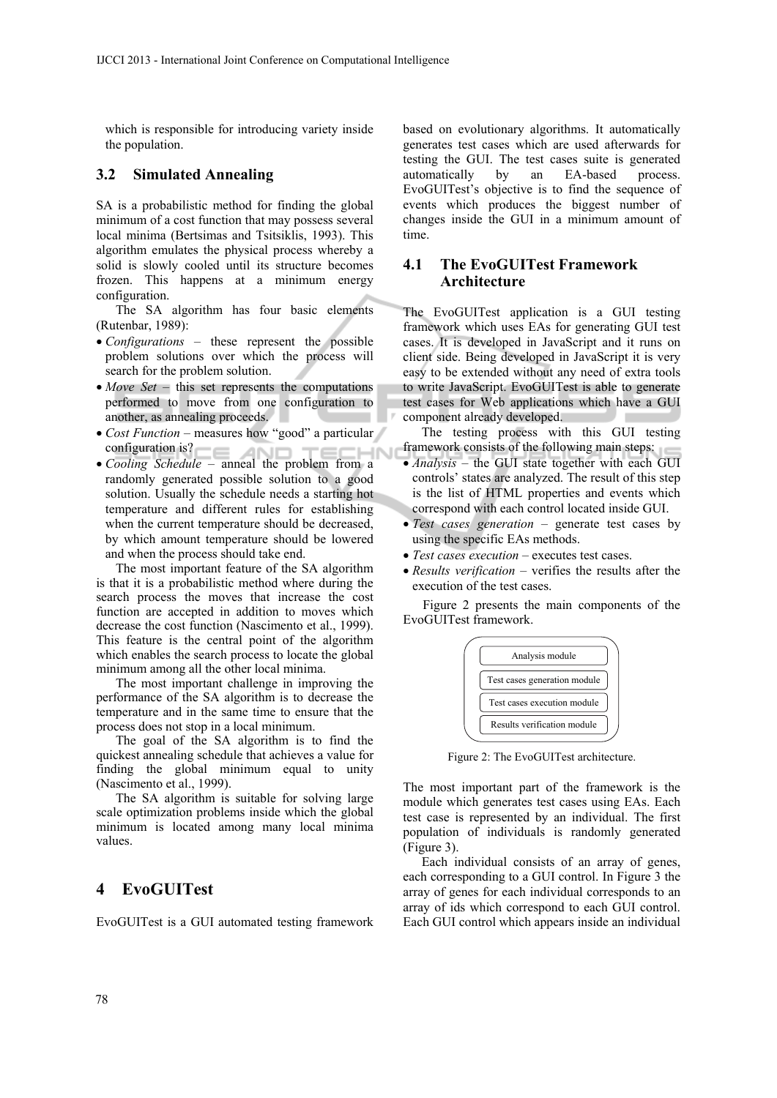which is responsible for introducing variety inside the population.

#### **3.2 Simulated Annealing**

SA is a probabilistic method for finding the global minimum of a cost function that may possess several local minima (Bertsimas and Tsitsiklis, 1993). This algorithm emulates the physical process whereby a solid is slowly cooled until its structure becomes frozen. This happens at a minimum energy configuration.

The SA algorithm has four basic elements (Rutenbar, 1989):

- *Configurations* these represent the possible problem solutions over which the process will search for the problem solution.
- Move Set this set represents the computations performed to move from one configuration to another, as annealing proceeds.
- *Cost Function* measures how "good" a particular configuration is?
- *Cooling Schedule*  anneal the problem from a randomly generated possible solution to a good solution. Usually the schedule needs a starting hot temperature and different rules for establishing when the current temperature should be decreased, by which amount temperature should be lowered and when the process should take end.

The most important feature of the SA algorithm is that it is a probabilistic method where during the search process the moves that increase the cost function are accepted in addition to moves which decrease the cost function (Nascimento et al., 1999). This feature is the central point of the algorithm which enables the search process to locate the global minimum among all the other local minima.

The most important challenge in improving the performance of the SA algorithm is to decrease the temperature and in the same time to ensure that the process does not stop in a local minimum.

The goal of the SA algorithm is to find the quickest annealing schedule that achieves a value for finding the global minimum equal to unity (Nascimento et al., 1999).

The SA algorithm is suitable for solving large scale optimization problems inside which the global minimum is located among many local minima values.

## **4 EvoGUITest**

EvoGUITest is a GUI automated testing framework

based on evolutionary algorithms. It automatically generates test cases which are used afterwards for testing the GUI. The test cases suite is generated automatically by an EA-based process. EvoGUITest's objective is to find the sequence of events which produces the biggest number of changes inside the GUI in a minimum amount of time.

#### **4.1 The EvoGUITest Framework Architecture**

The EvoGUITest application is a GUI testing framework which uses EAs for generating GUI test cases. It is developed in JavaScript and it runs on client side. Being developed in JavaScript it is very easy to be extended without any need of extra tools to write JavaScript. EvoGUITest is able to generate test cases for Web applications which have a GUI component already developed.

The testing process with this GUI testing framework consists of the following main steps:

- *Analysis* the GUI state together with each GUI controls' states are analyzed. The result of this step is the list of HTML properties and events which correspond with each control located inside GUI.
- *Test cases generation* generate test cases by using the specific EAs methods.
- *Test cases execution* executes test cases.
- *Results verification* verifies the results after the execution of the test cases.

Figure 2 presents the main components of the EvoGUITest framework.



Figure 2: The EvoGUITest architecture.

The most important part of the framework is the module which generates test cases using EAs. Each test case is represented by an individual. The first population of individuals is randomly generated (Figure 3).

Each individual consists of an array of genes, each corresponding to a GUI control. In Figure 3 the array of genes for each individual corresponds to an array of ids which correspond to each GUI control. Each GUI control which appears inside an individual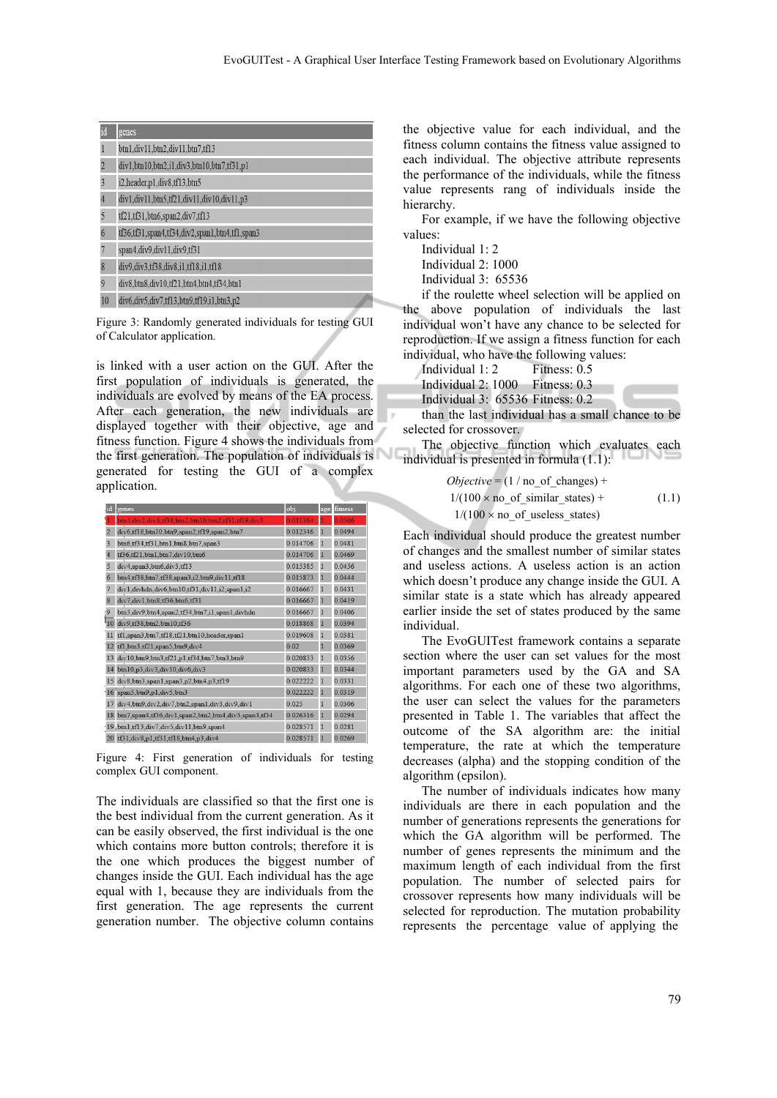| id             | genes                                          |
|----------------|------------------------------------------------|
|                | btn1,div11,btn2,div11,btn7,tf13                |
| $\overline{2}$ | div1,btn10,btn2,i1,div3,btn10,btn7,tf31,p1     |
| 3              | i2.header.p1.div8.tf13.btn5                    |
| 4              | div1,div11,btn5,tf21,div11,div10,div11,p3      |
| 5              | tf21,tf31,btn6,span2,div7,tf13                 |
| 6              | tf36,tf31,span4,tf34,div2,span1,btn4,tf1,span3 |
|                | span4.div9.div11.div9.tf31                     |
| 8              | div9.div3.tf38.div8.i1.tf18.i1.tf18            |
| 9              | div8.btn8.div10.tf21.btn4.btn4.tf34.btn1       |
| 10             | div6,div5,div7,tf13,btn9,tf19,i1,btn3,p2       |

Figure 3: Randomly generated individuals for testing GUI of Calculator application.

is linked with a user action on the GUI. After the first population of individuals is generated, the individuals are evolved by means of the EA process. After each generation, the new individuals are displayed together with their objective, age and fitness function. Figure 4 shows the individuals from the first generation. The population of individuals is generated for testing the GUI of a complex application.

| id             | genes                                                   | obj      | age | fitness |
|----------------|---------------------------------------------------------|----------|-----|---------|
|                | btn4,div2,div4,tf38,btn2,btn10,btn2,tf31,tf19,div3      | 0.011364 |     | 0.0506  |
|                | div6,tf18,btn10,btn9,span2,tf19,span2,btn7              | 0.012346 |     | 0.0494  |
| з              | btn6.tf34.tf31.btn1.btn8.btn7.span3                     | 0.014706 |     | 0.0481  |
|                | tf36,tf21,btn1,btn7,div10,btn6                          | 0.014706 |     | 0.0469  |
| $\overline{5}$ | div4,span3,btn6,div3,tf13                               | 0.015385 |     | 0.0456  |
| 6              | btn4,tf38,btn7,tf38,span3,i2,btn9,div11,tf18            | 0.015873 |     | 0.0444  |
|                | div1,divhdn,div6,btn10,tf31,div11,i2,span1,i2           | 0.016667 |     | 0.0431  |
| 8              | div7.div1.btn8.tf36.btn6.tf31                           | 0.016667 |     | 0.0419  |
| 9              | btn3.div9.btn4.span2.tf34.btn7.i1.span1.divhdn          | 0.016667 |     | 0.0406  |
| 10             | div9,tf38.btn2.btn10,tf36                               | 0.018868 |     | 0.0394  |
| 11             | tf1,span3.btn7,tf18,tf21,btn10,header.span1             | 0.019608 |     | 0.0381  |
|                | 12 tfl,btn3,tf21,span5,btn9,div4                        | 0.02     |     | 0.0369  |
| 13             | div10,btn9,btn3,tf21,p1,tf34,btn7,btn3,btn9             | 0.020833 |     | 0.0356  |
|                | 14 btn10,p3,div3,div10,div6,div3                        | 0.020833 |     | 0.0344  |
| 15             | div8,btn3,span1,span3,p2,btn4,p3,tf19                   | 0.022222 |     | 0.0331  |
|                | 16 span5, btn9, p1, div5, btn3                          | 0.022222 |     | 0.0319  |
| 17             | div4,btn9,div2,div7,btn2,span1,div3,div9,div1           | 0.025    |     | 0.0306  |
|                | 18 btn7,span4,tf36,div1,span2,btn2,btn4,div3,span3,tf34 | 0.026316 |     | 0.0294  |
|                | 19, btn1,tf13, div7, div5, div11, btn9, span4           | 0.028571 |     | 0.0281  |
|                | 20 tf31,div8,p1,tf31,tf18,btn4,p3,div4                  | 0 028571 |     | 0.0269  |

Figure 4: First generation of individuals for testing complex GUI component.

The individuals are classified so that the first one is the best individual from the current generation. As it can be easily observed, the first individual is the one which contains more button controls; therefore it is the one which produces the biggest number of changes inside the GUI. Each individual has the age equal with 1, because they are individuals from the first generation. The age represents the current generation number. The objective column contains

the objective value for each individual, and the fitness column contains the fitness value assigned to each individual. The objective attribute represents the performance of the individuals, while the fitness value represents rang of individuals inside the hierarchy.

For example, if we have the following objective values:

Individual 1: 2

Individual 2: 1000

Individual 3: 65536

if the roulette wheel selection will be applied on the above population of individuals the last individual won't have any chance to be selected for reproduction. If we assign a fitness function for each individual, who have the following values:

Individual 1: 2 Fitness: 0.5

Individual 2: 1000 Fitness: 0.3

Individual 3: 65536 Fitness: 0.2

than the last individual has a small chance to be selected for crossover.

The objective function which evaluates each individual is presented in formula (1.1):

| <i>Objective</i> = $(1 / no \text{ of changes}) +$ |       |
|----------------------------------------------------|-------|
| $1/(100 \times no$ of similar states) +            | (1.1) |
| $1/(100 \times no$ of useless states)              |       |

Each individual should produce the greatest number of changes and the smallest number of similar states and useless actions. A useless action is an action which doesn't produce any change inside the GUI. A similar state is a state which has already appeared earlier inside the set of states produced by the same individual.

The EvoGUITest framework contains a separate section where the user can set values for the most important parameters used by the GA and SA algorithms. For each one of these two algorithms, the user can select the values for the parameters presented in Table 1. The variables that affect the outcome of the SA algorithm are: the initial temperature, the rate at which the temperature decreases (alpha) and the stopping condition of the algorithm (epsilon).

The number of individuals indicates how many individuals are there in each population and the number of generations represents the generations for which the GA algorithm will be performed. The number of genes represents the minimum and the maximum length of each individual from the first population. The number of selected pairs for crossover represents how many individuals will be selected for reproduction. The mutation probability represents the percentage value of applying the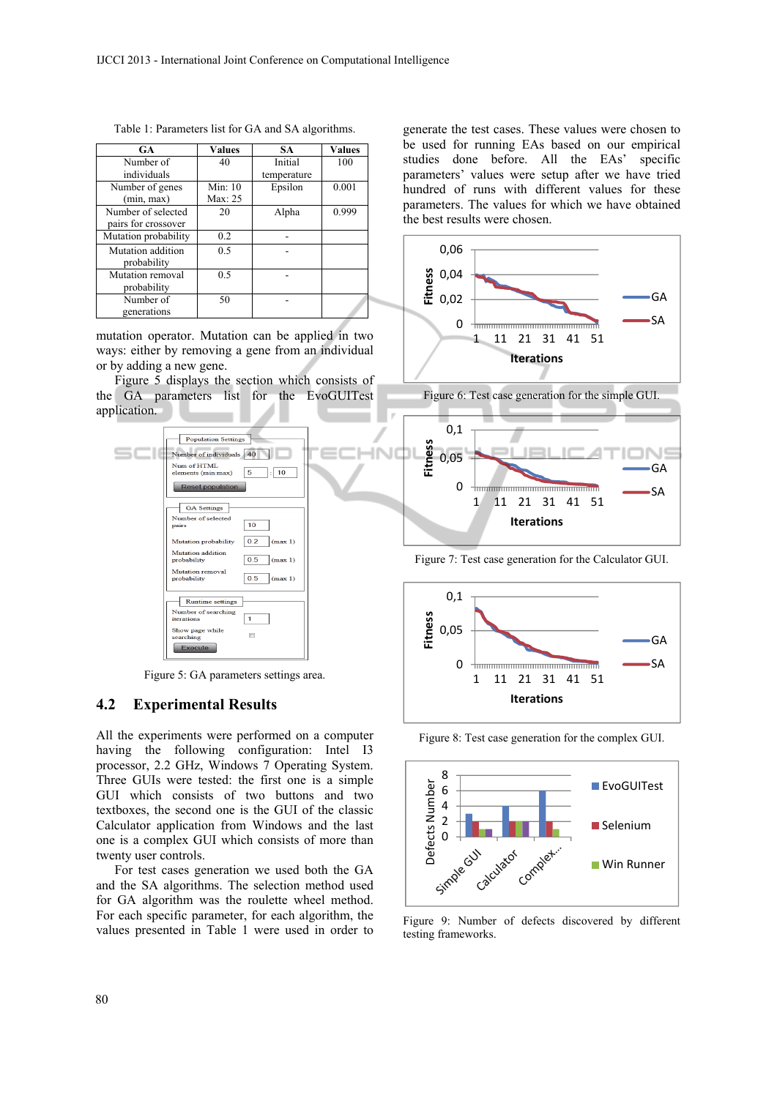| <b>GA</b>            | <b>Values</b> | <b>SA</b>   | <b>Values</b> |
|----------------------|---------------|-------------|---------------|
| Number of            | 40            | Initial     | 100           |
| individuals          |               | temperature |               |
| Number of genes      | Min: 10       | Epsilon     | 0.001         |
| (min, max)           | Max: 25       |             |               |
| Number of selected   | 20            | Alpha       | 0.999         |
| pairs for crossover  |               |             |               |
| Mutation probability | 0.2           |             |               |
| Mutation addition    | 0.5           |             |               |
| probability          |               |             |               |
| Mutation removal     | 0.5           |             |               |
| probability          |               |             |               |
| Number of            | 50            |             |               |
| generations          |               |             |               |

Table 1: Parameters list for GA and SA algorithms.

mutation operator. Mutation can be applied in two ways: either by removing a gene from an individual or by adding a new gene.

Figure 5 displays the section which consists of the GA parameters list for the EvoGUITest application.



Figure 5: GA parameters settings area.

#### **4.2 Experimental Results**

All the experiments were performed on a computer having the following configuration: Intel I3 processor, 2.2 GHz, Windows 7 Operating System. Three GUIs were tested: the first one is a simple GUI which consists of two buttons and two textboxes, the second one is the GUI of the classic Calculator application from Windows and the last one is a complex GUI which consists of more than twenty user controls.

For test cases generation we used both the GA and the SA algorithms. The selection method used for GA algorithm was the roulette wheel method. For each specific parameter, for each algorithm, the values presented in Table 1 were used in order to

generate the test cases. These values were chosen to be used for running EAs based on our empirical studies done before. All the EAs' specific parameters' values were setup after we have tried hundred of runs with different values for these parameters. The values for which we have obtained the best results were chosen.





Figure 8: Test case generation for the complex GUI.



Figure 9: Number of defects discovered by different testing frameworks.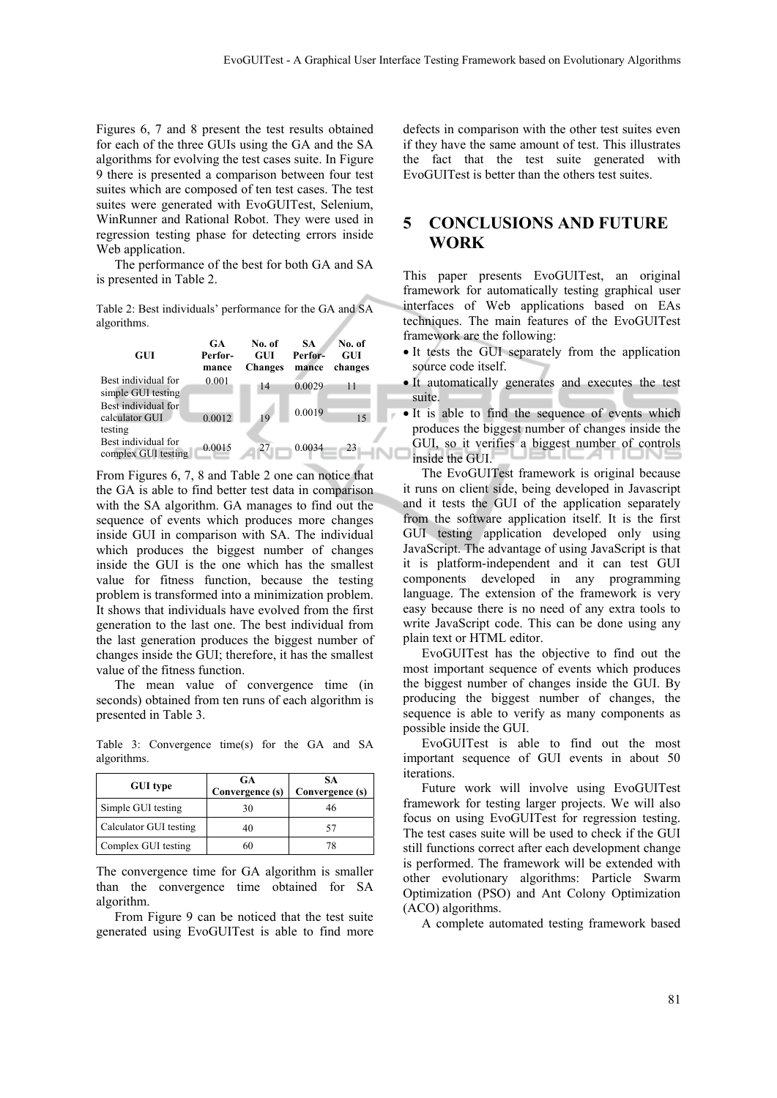Figures 6, 7 and 8 present the test results obtained for each of the three GUIs using the GA and the SA algorithms for evolving the test cases suite. In Figure 9 there is presented a comparison between four test suites which are composed of ten test cases. The test suites were generated with EvoGUITest, Selenium, WinRunner and Rational Robot. They were used in regression testing phase for detecting errors inside Web application.

The performance of the best for both GA and SA is presented in Table 2.

Table 2: Best individuals' performance for the GA and SA algorithms.

| GUI                                              | GA<br>Perfor-<br>mance | No. of<br>GUI<br><b>Changes</b> | <b>SA</b><br>Perfor-<br>mance | No. of<br>GUI<br>changes |
|--------------------------------------------------|------------------------|---------------------------------|-------------------------------|--------------------------|
| Best individual for<br>simple GUI testing        | 0.001                  | 14                              | 0.0029                        | 11                       |
| Best individual for<br>calculator GUI<br>testing | 0.0012                 | 19                              | 0.0019                        | 15                       |
| Best individual for<br>complex GUI testing       | 0.0015                 | 27                              | 0.0034                        | 23                       |

From Figures 6, 7, 8 and Table 2 one can notice that the GA is able to find better test data in comparison with the SA algorithm. GA manages to find out the sequence of events which produces more changes inside GUI in comparison with SA. The individual which produces the biggest number of changes inside the GUI is the one which has the smallest value for fitness function, because the testing problem is transformed into a minimization problem. It shows that individuals have evolved from the first generation to the last one. The best individual from the last generation produces the biggest number of changes inside the GUI; therefore, it has the smallest value of the fitness function.

The mean value of convergence time (in seconds) obtained from ten runs of each algorithm is presented in Table 3.

Table 3: Convergence time(s) for the GA and SA algorithms.

| <b>GUI</b> type        | GA<br>Convergence (s) | SА<br>Convergence (s) |
|------------------------|-----------------------|-----------------------|
| Simple GUI testing     | 30                    | 46                    |
| Calculator GUI testing | 40                    |                       |
| Complex GUI testing    | 60                    |                       |

The convergence time for GA algorithm is smaller than the convergence time obtained for SA algorithm.

From Figure 9 can be noticed that the test suite generated using EvoGUITest is able to find more

defects in comparison with the other test suites even if they have the same amount of test. This illustrates the fact that the test suite generated with EvoGUITest is better than the others test suites.

## **5 CONCLUSIONS AND FUTURE WORK**

This paper presents EvoGUITest, an original framework for automatically testing graphical user interfaces of Web applications based on EAs techniques. The main features of the EvoGUITest framework are the following:

- It tests the GUI separately from the application source code itself.
- It automatically generates and executes the test suite.
- It is able to find the sequence of events which produces the biggest number of changes inside the GUI, so it verifies a biggest number of controls inside the GUI.

The EvoGUITest framework is original because it runs on client side, being developed in Javascript and it tests the GUI of the application separately from the software application itself. It is the first GUI testing application developed only using JavaScript. The advantage of using JavaScript is that it is platform-independent and it can test GUI components developed in any programming language. The extension of the framework is very easy because there is no need of any extra tools to write JavaScript code. This can be done using any plain text or HTML editor.

EvoGUITest has the objective to find out the most important sequence of events which produces the biggest number of changes inside the GUI. By producing the biggest number of changes, the sequence is able to verify as many components as possible inside the GUI.

EvoGUITest is able to find out the most important sequence of GUI events in about 50 iterations.

Future work will involve using EvoGUITest framework for testing larger projects. We will also focus on using EvoGUITest for regression testing. The test cases suite will be used to check if the GUI still functions correct after each development change is performed. The framework will be extended with other evolutionary algorithms: Particle Swarm Optimization (PSO) and Ant Colony Optimization (ACO) algorithms.

A complete automated testing framework based